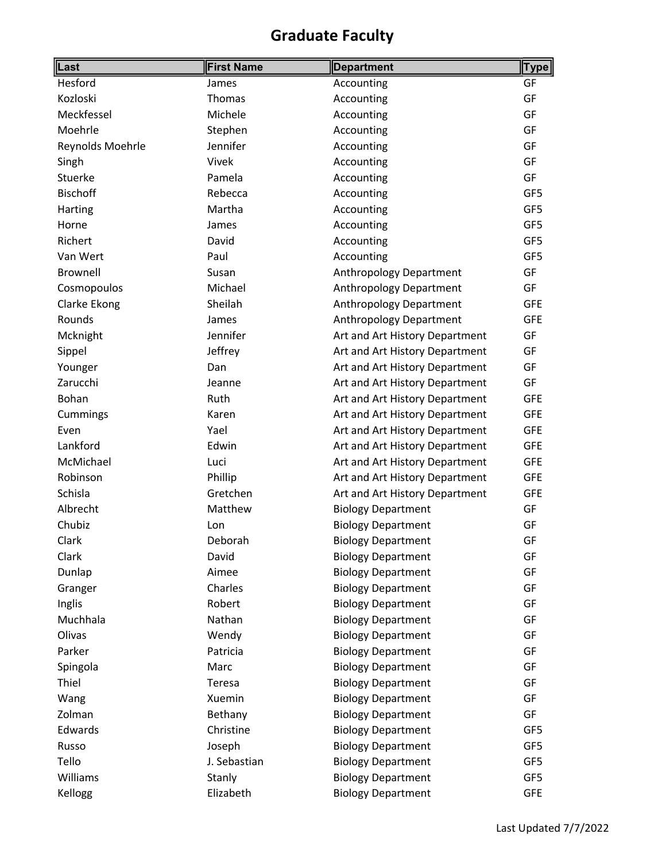| Last             | <b>First Name</b> | <b>Department</b>              | <b>Type</b> |
|------------------|-------------------|--------------------------------|-------------|
| Hesford          | James             | Accounting                     | GF          |
| Kozloski         | Thomas            | Accounting                     | GF          |
| Meckfessel       | Michele           | Accounting                     | GF          |
| Moehrle          | Stephen           | Accounting                     | GF          |
| Reynolds Moehrle | Jennifer          | Accounting                     | GF          |
| Singh            | Vivek             | Accounting                     | GF          |
| Stuerke          | Pamela            | Accounting                     | GF          |
| <b>Bischoff</b>  | Rebecca           | Accounting                     | GF5         |
| Harting          | Martha            | Accounting                     | GF5         |
| Horne            | James             | Accounting                     | GF5         |
| Richert          | David             | Accounting                     | GF5         |
| Van Wert         | Paul              | Accounting                     | GF5         |
| Brownell         | Susan             | Anthropology Department        | GF          |
| Cosmopoulos      | Michael           | Anthropology Department        | GF          |
| Clarke Ekong     | Sheilah           | Anthropology Department        | <b>GFE</b>  |
| Rounds           | James             | <b>Anthropology Department</b> | <b>GFE</b>  |
| Mcknight         | Jennifer          | Art and Art History Department | GF          |
| Sippel           | Jeffrey           | Art and Art History Department | GF          |
| Younger          | Dan               | Art and Art History Department | GF          |
| Zarucchi         | Jeanne            | Art and Art History Department | GF          |
| Bohan            | Ruth              | Art and Art History Department | <b>GFE</b>  |
| Cummings         | Karen             | Art and Art History Department | <b>GFE</b>  |
| Even             | Yael              | Art and Art History Department | <b>GFE</b>  |
| Lankford         | Edwin             | Art and Art History Department | <b>GFE</b>  |
| McMichael        | Luci              | Art and Art History Department | <b>GFE</b>  |
| Robinson         | Phillip           | Art and Art History Department | <b>GFE</b>  |
| Schisla          | Gretchen          | Art and Art History Department | <b>GFE</b>  |
| Albrecht         | Matthew           | <b>Biology Department</b>      | GF          |
| Chubiz           | Lon               | <b>Biology Department</b>      | GF          |
| Clark            | Deborah           | <b>Biology Department</b>      | GF          |
| Clark            | David             | <b>Biology Department</b>      | GF          |
| Dunlap           | Aimee             | <b>Biology Department</b>      | GF          |
| Granger          | Charles           | <b>Biology Department</b>      | GF          |
| Inglis           | Robert            | <b>Biology Department</b>      | GF          |
| Muchhala         | Nathan            | <b>Biology Department</b>      | GF          |
| Olivas           | Wendy             | <b>Biology Department</b>      | GF          |
| Parker           | Patricia          | <b>Biology Department</b>      | GF          |
| Spingola         | Marc              | <b>Biology Department</b>      | GF          |
| Thiel            | Teresa            | <b>Biology Department</b>      | GF          |
| Wang             | Xuemin            | <b>Biology Department</b>      | GF          |
| Zolman           | Bethany           | <b>Biology Department</b>      | GF          |
| Edwards          | Christine         | <b>Biology Department</b>      | GF5         |
| Russo            | Joseph            | <b>Biology Department</b>      | GF5         |
| Tello            | J. Sebastian      | <b>Biology Department</b>      | GF5         |
| Williams         | Stanly            | <b>Biology Department</b>      | GF5         |
| Kellogg          | Elizabeth         | <b>Biology Department</b>      | <b>GFE</b>  |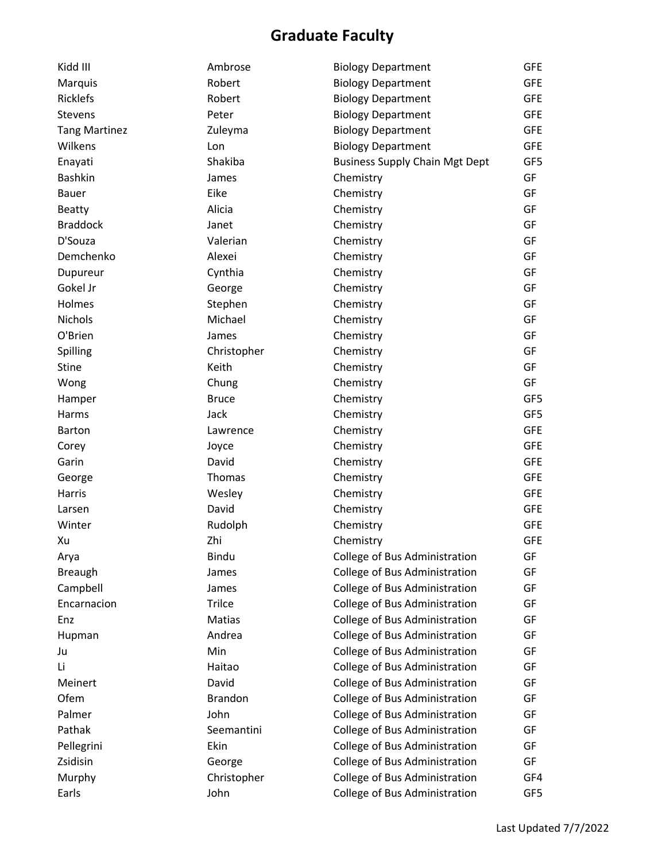| Kidd III             | Ambrose        | <b>Biology Department</b>             | <b>GFE</b> |
|----------------------|----------------|---------------------------------------|------------|
| Marquis              | Robert         | <b>Biology Department</b>             | <b>GFE</b> |
| <b>Ricklefs</b>      | Robert         | <b>Biology Department</b>             | <b>GFE</b> |
| Stevens              | Peter          | <b>Biology Department</b>             | <b>GFE</b> |
| <b>Tang Martinez</b> | Zuleyma        | <b>Biology Department</b>             | <b>GFE</b> |
| Wilkens              | Lon            | <b>Biology Department</b>             | <b>GFE</b> |
| Enayati              | Shakiba        | <b>Business Supply Chain Mgt Dept</b> | GF5        |
| Bashkin              | James          | Chemistry                             | GF         |
| <b>Bauer</b>         | Eike           | Chemistry                             | GF         |
| <b>Beatty</b>        | Alicia         | Chemistry                             | GF         |
| <b>Braddock</b>      | Janet          | Chemistry                             | GF         |
| D'Souza              | Valerian       | Chemistry                             | GF         |
| Demchenko            | Alexei         | Chemistry                             | GF         |
| Dupureur             | Cynthia        | Chemistry                             | GF         |
| Gokel Jr             | George         | Chemistry                             | GF         |
| Holmes               | Stephen        | Chemistry                             | GF         |
| <b>Nichols</b>       | Michael        | Chemistry                             | GF         |
| O'Brien              | James          | Chemistry                             | GF         |
| Spilling             | Christopher    | Chemistry                             | GF         |
| Stine                | Keith          | Chemistry                             | GF         |
| Wong                 | Chung          | Chemistry                             | GF         |
| Hamper               | <b>Bruce</b>   | Chemistry                             | GF5        |
| Harms                | Jack           | Chemistry                             | GF5        |
| <b>Barton</b>        | Lawrence       | Chemistry                             | <b>GFE</b> |
| Corey                | Joyce          | Chemistry                             | <b>GFE</b> |
| Garin                | David          | Chemistry                             | <b>GFE</b> |
| George               | Thomas         | Chemistry                             | <b>GFE</b> |
| Harris               | Wesley         | Chemistry                             | <b>GFE</b> |
| Larsen               | David          | Chemistry                             | <b>GFE</b> |
| Winter               | Rudolph        | Chemistry                             | <b>GFE</b> |
| Xu                   | Zhi            | Chemistry                             | <b>GFE</b> |
| Arya                 | Bindu          | College of Bus Administration         | GF         |
| <b>Breaugh</b>       | James          | College of Bus Administration         | GF         |
| Campbell             | James          | College of Bus Administration         | GF         |
| Encarnacion          | Trilce         | College of Bus Administration         | GF         |
| Enz                  | Matias         | College of Bus Administration         | GF         |
| Hupman               | Andrea         | College of Bus Administration         | GF         |
| Ju                   | Min            | College of Bus Administration         | GF         |
| Li                   | Haitao         | College of Bus Administration         | GF         |
| Meinert              | David          | College of Bus Administration         | GF         |
| Ofem                 | <b>Brandon</b> | College of Bus Administration         | GF         |
| Palmer               | John           | College of Bus Administration         | GF         |
| Pathak               | Seemantini     | College of Bus Administration         | GF         |
| Pellegrini           | Ekin           | College of Bus Administration         | GF         |
| Zsidisin             | George         | College of Bus Administration         | GF         |
| Murphy               | Christopher    | College of Bus Administration         | GF4        |
| Earls                | John           | College of Bus Administration         | GF5        |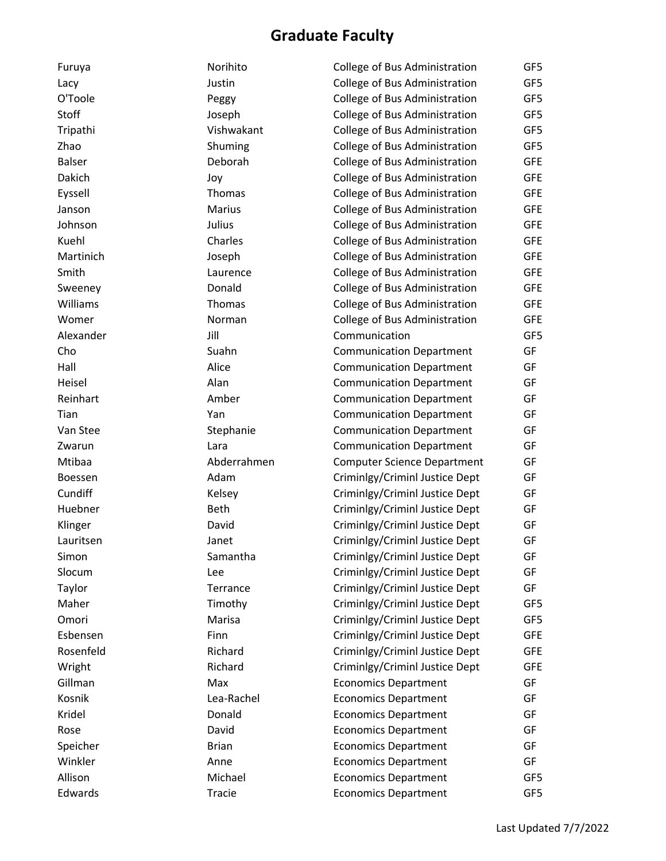| Furuya        | Norihito      | College of Bus Administration      | GF5        |
|---------------|---------------|------------------------------------|------------|
| Lacy          | Justin        | College of Bus Administration      | GF5        |
| O'Toole       | Peggy         | College of Bus Administration      | GF5        |
| Stoff         | Joseph        | College of Bus Administration      | GF5        |
| Tripathi      | Vishwakant    | College of Bus Administration      | GF5        |
| Zhao          | Shuming       | College of Bus Administration      | GF5        |
| <b>Balser</b> | Deborah       | College of Bus Administration      | <b>GFE</b> |
| Dakich        | Joy           | College of Bus Administration      | <b>GFE</b> |
| Eyssell       | Thomas        | College of Bus Administration      | <b>GFE</b> |
| Janson        | <b>Marius</b> | College of Bus Administration      | <b>GFE</b> |
| Johnson       | Julius        | College of Bus Administration      | <b>GFE</b> |
| Kuehl         | Charles       | College of Bus Administration      | <b>GFE</b> |
| Martinich     | Joseph        | College of Bus Administration      | <b>GFE</b> |
| Smith         | Laurence      | College of Bus Administration      | <b>GFE</b> |
| Sweeney       | Donald        | College of Bus Administration      | <b>GFE</b> |
| Williams      | Thomas        | College of Bus Administration      | <b>GFE</b> |
| Womer         | Norman        | College of Bus Administration      | <b>GFE</b> |
| Alexander     | Jill          | Communication                      | GF5        |
| Cho           | Suahn         | <b>Communication Department</b>    | GF         |
| Hall          | Alice         | <b>Communication Department</b>    | GF         |
| Heisel        | Alan          | <b>Communication Department</b>    | GF         |
| Reinhart      | Amber         | <b>Communication Department</b>    | GF         |
| Tian          | Yan           | <b>Communication Department</b>    | GF         |
| Van Stee      | Stephanie     | <b>Communication Department</b>    | GF         |
| Zwarun        | Lara          | <b>Communication Department</b>    | GF         |
| Mtibaa        | Abderrahmen   | <b>Computer Science Department</b> | GF         |
| Boessen       | Adam          | Criminlgy/Criminl Justice Dept     | GF         |
| Cundiff       | Kelsey        | Criminlgy/Criminl Justice Dept     | GF         |
| Huebner       | Beth          | Criminlgy/Criminl Justice Dept     | GF         |
| Klinger       | David         | Criminlgy/Criminl Justice Dept     | GF         |
| Lauritsen     | Janet         | Criminlgy/Criminl Justice Dept     | GF         |
| Simon         | Samantha      | Criminlgy/Criminl Justice Dept     | GF         |
| Slocum        | Lee           | Criminlgy/Criminl Justice Dept     | GF         |
| Taylor        | Terrance      | Criminlgy/Criminl Justice Dept     | GF         |
| Maher         | Timothy       | Criminlgy/Criminl Justice Dept     | GF5        |
| Omori         | Marisa        | Criminlgy/Criminl Justice Dept     | GF5        |
| Esbensen      | Finn          | Criminlgy/Criminl Justice Dept     | <b>GFE</b> |
| Rosenfeld     | Richard       | Criminlgy/Criminl Justice Dept     | <b>GFE</b> |
| Wright        | Richard       | Criminlgy/Criminl Justice Dept     | <b>GFE</b> |
| Gillman       | Max           | <b>Economics Department</b>        | GF         |
| Kosnik        | Lea-Rachel    | <b>Economics Department</b>        | GF         |
| Kridel        | Donald        | <b>Economics Department</b>        | GF         |
| Rose          | David         | <b>Economics Department</b>        | GF         |
| Speicher      | <b>Brian</b>  | <b>Economics Department</b>        | GF         |
| Winkler       | Anne          | <b>Economics Department</b>        | GF         |
| Allison       | Michael       | <b>Economics Department</b>        | GF5        |
| Edwards       | Tracie        | <b>Economics Department</b>        | GF5        |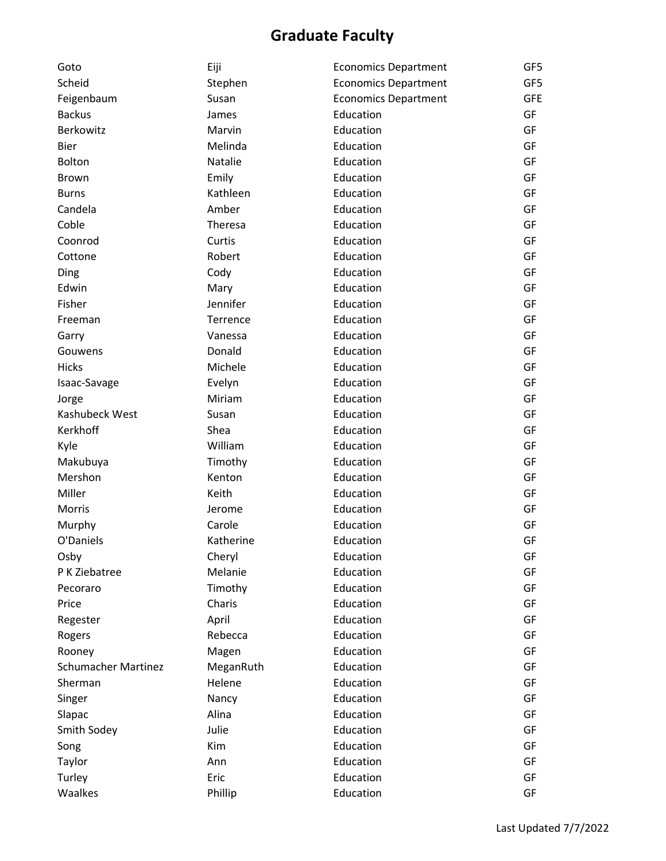| Goto                       | Eiji      | <b>Economics Department</b> | GF5        |
|----------------------------|-----------|-----------------------------|------------|
| Scheid                     | Stephen   | <b>Economics Department</b> | GF5        |
| Feigenbaum                 | Susan     | <b>Economics Department</b> | <b>GFE</b> |
| <b>Backus</b>              | James     | Education                   | GF         |
| Berkowitz                  | Marvin    | Education                   | GF         |
| <b>Bier</b>                | Melinda   | Education                   | GF         |
| Bolton                     | Natalie   | Education                   | GF         |
| <b>Brown</b>               | Emily     | Education                   | GF         |
| <b>Burns</b>               | Kathleen  | Education                   | GF         |
| Candela                    | Amber     | Education                   | GF         |
| Coble                      | Theresa   | Education                   | GF         |
| Coonrod                    | Curtis    | Education                   | GF         |
| Cottone                    | Robert    | Education                   | GF         |
| Ding                       | Cody      | Education                   | GF         |
| Edwin                      | Mary      | Education                   | GF         |
| Fisher                     | Jennifer  | Education                   | GF         |
| Freeman                    | Terrence  | Education                   | GF         |
| Garry                      | Vanessa   | Education                   | GF         |
| Gouwens                    | Donald    | Education                   | GF         |
| <b>Hicks</b>               | Michele   | Education                   | GF         |
| Isaac-Savage               | Evelyn    | Education                   | GF         |
| Jorge                      | Miriam    | Education                   | GF         |
| Kashubeck West             | Susan     | Education                   | GF         |
| Kerkhoff                   | Shea      | Education                   | GF         |
| Kyle                       | William   | Education                   | GF         |
| Makubuya                   | Timothy   | Education                   | GF         |
| Mershon                    | Kenton    | Education                   | GF         |
| Miller                     | Keith     | Education                   | GF         |
| Morris                     | Jerome    | Education                   | GF         |
| Murphy                     | Carole    | Education                   | GF         |
| O'Daniels                  | Katherine | Education                   | GF         |
| Osby                       | Cheryl    | Education                   | GF         |
| P K Ziebatree              | Melanie   | Education                   | GF         |
| Pecoraro                   | Timothy   | Education                   | GF         |
| Price                      | Charis    | Education                   | GF         |
| Regester                   | April     | Education                   | GF         |
| Rogers                     | Rebecca   | Education                   | GF         |
| Rooney                     | Magen     | Education                   | GF         |
| <b>Schumacher Martinez</b> | MeganRuth | Education                   | GF         |
| Sherman                    | Helene    | Education                   | GF         |
| Singer                     | Nancy     | Education                   | GF         |
| Slapac                     | Alina     | Education                   | GF         |
| Smith Sodey                | Julie     | Education                   | GF         |
| Song                       | Kim       | Education                   | GF         |
| Taylor                     | Ann       | Education                   | GF         |
| Turley                     | Eric      | Education                   | GF         |
| Waalkes                    | Phillip   | Education                   | GF         |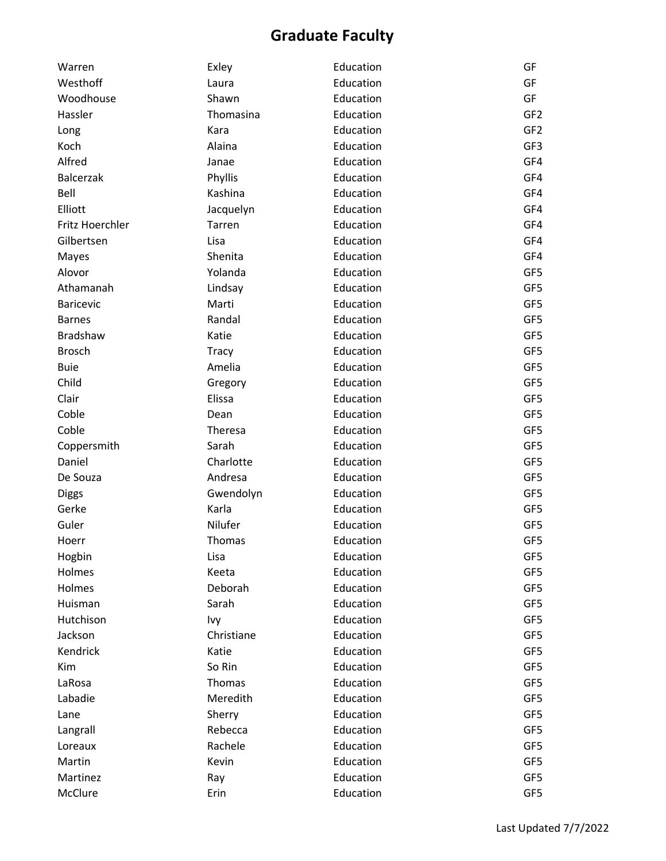| Warren           | Exley        | Education | GF              |
|------------------|--------------|-----------|-----------------|
| Westhoff         | Laura        | Education | GF              |
| Woodhouse        | Shawn        | Education | GF              |
| Hassler          | Thomasina    | Education | GF <sub>2</sub> |
| Long             | Kara         | Education | GF <sub>2</sub> |
| Koch             | Alaina       | Education | GF3             |
| Alfred           | Janae        | Education | GF4             |
| <b>Balcerzak</b> | Phyllis      | Education | GF4             |
| Bell             | Kashina      | Education | GF4             |
| Elliott          | Jacquelyn    | Education | GF4             |
| Fritz Hoerchler  | Tarren       | Education | GF4             |
| Gilbertsen       | Lisa         | Education | GF4             |
| Mayes            | Shenita      | Education | GF4             |
| Alovor           | Yolanda      | Education | GF5             |
| Athamanah        | Lindsay      | Education | GF5             |
| <b>Baricevic</b> | Marti        | Education | GF5             |
| <b>Barnes</b>    | Randal       | Education | GF5             |
| <b>Bradshaw</b>  | Katie        | Education | GF5             |
| <b>Brosch</b>    | <b>Tracy</b> | Education | GF5             |
| <b>Buie</b>      | Amelia       | Education | GF5             |
| Child            | Gregory      | Education | GF5             |
| Clair            | Elissa       | Education | GF5             |
| Coble            | Dean         | Education | GF5             |
| Coble            | Theresa      | Education | GF5             |
| Coppersmith      | Sarah        | Education | GF5             |
| Daniel           | Charlotte    | Education | GF5             |
| De Souza         | Andresa      | Education | GF5             |
| <b>Diggs</b>     | Gwendolyn    | Education | GF5             |
| Gerke            | Karla        | Education | GF5             |
| Guler            | Nilufer      | Education | GF5             |
| Hoerr            | Thomas       | Education | GF5             |
| Hogbin           | Lisa         | Education | GF5             |
| Holmes           | Keeta        | Education | GF5             |
| Holmes           | Deborah      | Education | GF5             |
| Huisman          | Sarah        | Education | GF5             |
| Hutchison        | Ivy          | Education | GF5             |
| Jackson          | Christiane   | Education | GF5             |
| Kendrick         | Katie        | Education | GF5             |
| Kim              | So Rin       | Education | GF5             |
| LaRosa           | Thomas       | Education | GF5             |
| Labadie          | Meredith     | Education | GF5             |
| Lane             | Sherry       | Education | GF5             |
| Langrall         | Rebecca      | Education | GF5             |
| Loreaux          | Rachele      | Education | GF5             |
| Martin           | Kevin        | Education | GF5             |
| Martinez         | Ray          | Education | GF5             |
| McClure          | Erin         | Education | GF5             |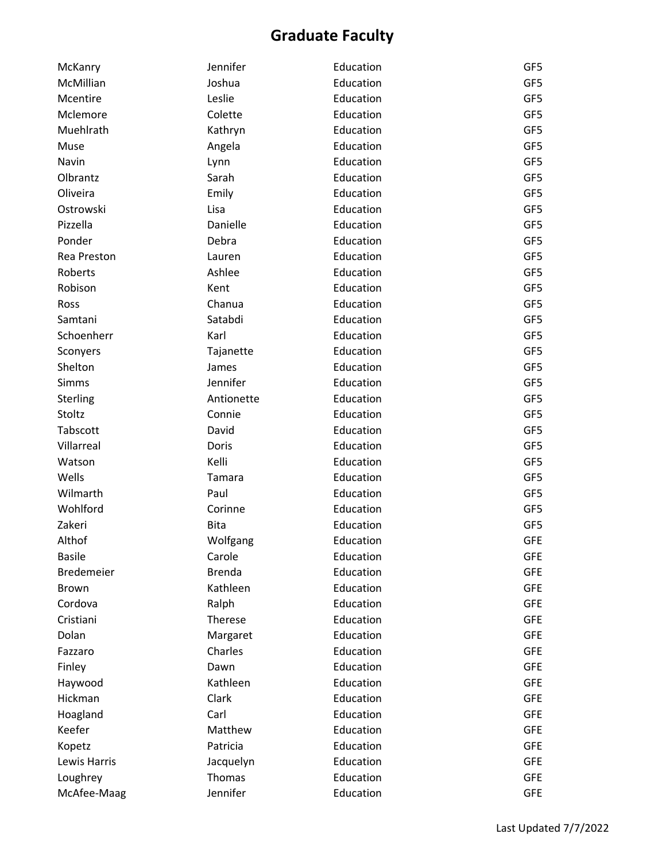| McKanry           | Jennifer      | Education | GF5        |
|-------------------|---------------|-----------|------------|
| McMillian         | Joshua        | Education | GF5        |
| Mcentire          | Leslie        | Education | GF5        |
| Mclemore          | Colette       | Education | GF5        |
| Muehlrath         | Kathryn       | Education | GF5        |
| Muse              | Angela        | Education | GF5        |
| Navin             | Lynn          | Education | GF5        |
| Olbrantz          | Sarah         | Education | GF5        |
| Oliveira          | Emily         | Education | GF5        |
| Ostrowski         | Lisa          | Education | GF5        |
| Pizzella          | Danielle      | Education | GF5        |
| Ponder            | Debra         | Education | GF5        |
| Rea Preston       | Lauren        | Education | GF5        |
| Roberts           | Ashlee        | Education | GF5        |
| Robison           | Kent          | Education | GF5        |
| Ross              | Chanua        | Education | GF5        |
| Samtani           | Satabdi       | Education | GF5        |
| Schoenherr        | Karl          | Education | GF5        |
| Sconyers          | Tajanette     | Education | GF5        |
| Shelton           | James         | Education | GF5        |
| <b>Simms</b>      | Jennifer      | Education | GF5        |
| Sterling          | Antionette    | Education | GF5        |
| Stoltz            | Connie        | Education | GF5        |
| Tabscott          | David         | Education | GF5        |
| Villarreal        | Doris         | Education | GF5        |
| Watson            | Kelli         | Education | GF5        |
| Wells             | Tamara        | Education | GF5        |
| Wilmarth          | Paul          | Education | GF5        |
| Wohlford          | Corinne       | Education | GF5        |
| Zakeri            | <b>Bita</b>   | Education | GF5        |
| Althof            | Wolfgang      | Education | <b>GFE</b> |
| <b>Basile</b>     | Carole        | Education | <b>GFE</b> |
| <b>Bredemeier</b> | <b>Brenda</b> | Education | <b>GFE</b> |
| <b>Brown</b>      | Kathleen      | Education | <b>GFE</b> |
| Cordova           | Ralph         | Education | <b>GFE</b> |
| Cristiani         | Therese       | Education | <b>GFE</b> |
| Dolan             | Margaret      | Education | <b>GFE</b> |
| Fazzaro           | Charles       | Education | <b>GFE</b> |
| Finley            | Dawn          | Education | <b>GFE</b> |
| Haywood           | Kathleen      | Education | <b>GFE</b> |
| Hickman           | Clark         | Education | <b>GFE</b> |
| Hoagland          | Carl          | Education | <b>GFE</b> |
| Keefer            | Matthew       | Education | <b>GFE</b> |
| Kopetz            | Patricia      | Education | <b>GFE</b> |
| Lewis Harris      | Jacquelyn     | Education | <b>GFE</b> |
| Loughrey          | Thomas        | Education | <b>GFE</b> |
| McAfee-Maag       | Jennifer      | Education | <b>GFE</b> |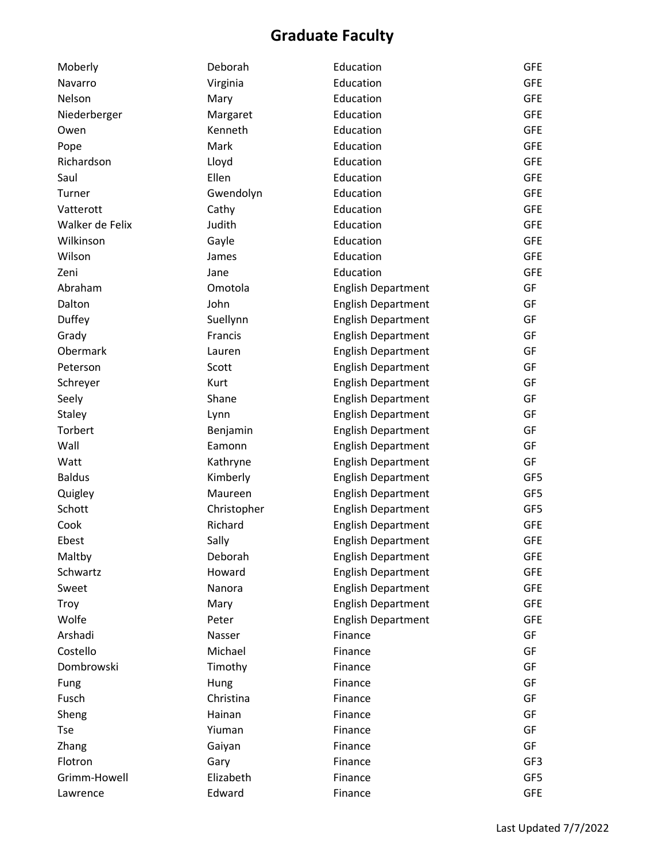| Moberly         | Deborah     | Education                 | <b>GFE</b> |
|-----------------|-------------|---------------------------|------------|
| Navarro         | Virginia    | Education                 | <b>GFE</b> |
| Nelson          | Mary        | Education                 | <b>GFE</b> |
| Niederberger    | Margaret    | Education                 | <b>GFE</b> |
| Owen            | Kenneth     | Education                 | <b>GFE</b> |
| Pope            | Mark        | Education                 | <b>GFE</b> |
| Richardson      | Lloyd       | Education                 | <b>GFE</b> |
| Saul            | Ellen       | Education                 | <b>GFE</b> |
| Turner          | Gwendolyn   | Education                 | <b>GFE</b> |
| Vatterott       | Cathy       | Education                 | <b>GFE</b> |
| Walker de Felix | Judith      | Education                 | <b>GFE</b> |
| Wilkinson       | Gayle       | Education                 | <b>GFE</b> |
| Wilson          | James       | Education                 | <b>GFE</b> |
| Zeni            | Jane        | Education                 | <b>GFE</b> |
| Abraham         | Omotola     | <b>English Department</b> | GF         |
| Dalton          | John        | <b>English Department</b> | GF         |
| Duffey          | Suellynn    | <b>English Department</b> | GF         |
| Grady           | Francis     | <b>English Department</b> | GF         |
| Obermark        | Lauren      | <b>English Department</b> | GF         |
| Peterson        | Scott       | <b>English Department</b> | GF         |
| Schreyer        | Kurt        | <b>English Department</b> | GF         |
| Seely           | Shane       | <b>English Department</b> | GF         |
| <b>Staley</b>   | Lynn        | <b>English Department</b> | GF         |
| Torbert         | Benjamin    | <b>English Department</b> | GF         |
| Wall            | Eamonn      | <b>English Department</b> | GF         |
| Watt            | Kathryne    | <b>English Department</b> | GF         |
| <b>Baldus</b>   | Kimberly    | <b>English Department</b> | GF5        |
| Quigley         | Maureen     | <b>English Department</b> | GF5        |
| Schott          | Christopher | <b>English Department</b> | GF5        |
| Cook            | Richard     | <b>English Department</b> | <b>GFE</b> |
| Ebest           | Sally       | <b>English Department</b> | <b>GFE</b> |
| Maltby          | Deborah     | <b>English Department</b> | <b>GFE</b> |
| Schwartz        | Howard      | <b>English Department</b> | <b>GFE</b> |
| Sweet           | Nanora      | <b>English Department</b> | <b>GFE</b> |
| Troy            | Mary        | <b>English Department</b> | <b>GFE</b> |
| Wolfe           | Peter       | <b>English Department</b> | <b>GFE</b> |
| Arshadi         | Nasser      | Finance                   | GF         |
| Costello        | Michael     | Finance                   | GF         |
| Dombrowski      | Timothy     | Finance                   | GF         |
| Fung            | Hung        | Finance                   | GF         |
| Fusch           | Christina   | Finance                   | GF         |
| Sheng           | Hainan      | Finance                   | GF         |
| <b>Tse</b>      | Yiuman      | Finance                   | GF         |
| Zhang           | Gaiyan      | Finance                   | GF         |
| Flotron         | Gary        | Finance                   | GF3        |
| Grimm-Howell    | Elizabeth   | Finance                   | GF5        |
| Lawrence        | Edward      | Finance                   | <b>GFE</b> |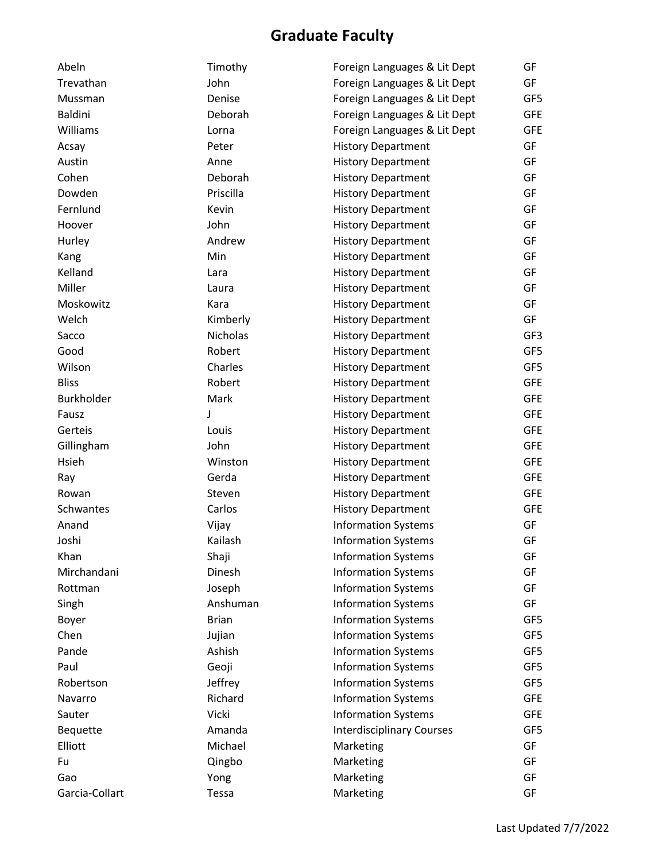| Abeln             | Timothy      | Foreign Languages & Lit Dept     | GF         |
|-------------------|--------------|----------------------------------|------------|
| Trevathan         | John         | Foreign Languages & Lit Dept     | GF         |
| Mussman           | Denise       | Foreign Languages & Lit Dept     | GF5        |
| Baldini           | Deborah      | Foreign Languages & Lit Dept     | <b>GFE</b> |
| Williams          | Lorna        | Foreign Languages & Lit Dept     | <b>GFE</b> |
| Acsay             | Peter        | <b>History Department</b>        | GF         |
| Austin            | Anne         | <b>History Department</b>        | GF         |
| Cohen             | Deborah      | <b>History Department</b>        | GF         |
| Dowden            | Priscilla    | <b>History Department</b>        | GF         |
| Fernlund          | Kevin        | <b>History Department</b>        | GF         |
| Hoover            | John         | <b>History Department</b>        | GF         |
| Hurley            | Andrew       | <b>History Department</b>        | GF         |
| Kang              | Min          | <b>History Department</b>        | GF         |
| Kelland           | Lara         | <b>History Department</b>        | GF         |
| Miller            | Laura        | <b>History Department</b>        | GF         |
| Moskowitz         | Kara         | <b>History Department</b>        | GF         |
| Welch             | Kimberly     | <b>History Department</b>        | GF         |
| Sacco             | Nicholas     | <b>History Department</b>        | GF3        |
| Good              | Robert       | <b>History Department</b>        | GF5        |
| Wilson            | Charles      | <b>History Department</b>        | GF5        |
| <b>Bliss</b>      | Robert       | <b>History Department</b>        | <b>GFE</b> |
| <b>Burkholder</b> | Mark         | <b>History Department</b>        | <b>GFE</b> |
| Fausz             | J            | <b>History Department</b>        | <b>GFE</b> |
| Gerteis           | Louis        | <b>History Department</b>        | <b>GFE</b> |
| Gillingham        | John         | <b>History Department</b>        | <b>GFE</b> |
| Hsieh             | Winston      | <b>History Department</b>        | <b>GFE</b> |
| Ray               | Gerda        | <b>History Department</b>        | <b>GFE</b> |
| Rowan             | Steven       | <b>History Department</b>        | <b>GFE</b> |
| Schwantes         | Carlos       | <b>History Department</b>        | <b>GFE</b> |
| Anand             | Vijay        | <b>Information Systems</b>       | GF         |
| Joshi             | Kailash      | <b>Information Systems</b>       | GF         |
| Khan              | Shaji        | <b>Information Systems</b>       | GF         |
| Mirchandani       | Dinesh       | <b>Information Systems</b>       | GF         |
| Rottman           | Joseph       | <b>Information Systems</b>       | GF         |
| Singh             | Anshuman     | <b>Information Systems</b>       | GF         |
| Boyer             | <b>Brian</b> | <b>Information Systems</b>       | GF5        |
| Chen              | Jujian       | <b>Information Systems</b>       | GF5        |
| Pande             | Ashish       | <b>Information Systems</b>       | GF5        |
| Paul              | Geoji        | <b>Information Systems</b>       | GF5        |
| Robertson         | Jeffrey      | <b>Information Systems</b>       | GF5        |
| Navarro           | Richard      | <b>Information Systems</b>       | <b>GFE</b> |
| Sauter            | Vicki        | <b>Information Systems</b>       | <b>GFE</b> |
| Bequette          | Amanda       | <b>Interdisciplinary Courses</b> | GF5        |
| Elliott           | Michael      | Marketing                        | GF         |
| Fu                | Qingbo       | Marketing                        | GF         |
| Gao               | Yong         | Marketing                        | GF         |
| Garcia-Collart    | Tessa        | Marketing                        | GF         |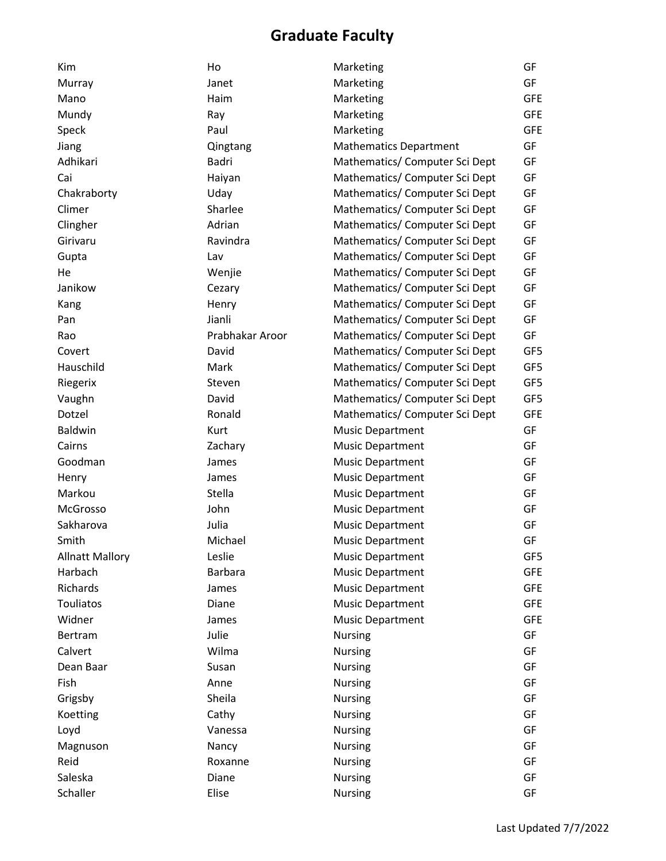| Kim                    | Ho              | Marketing                      | GF         |
|------------------------|-----------------|--------------------------------|------------|
| Murray                 | Janet           | Marketing                      | GF         |
| Mano                   | Haim            | Marketing                      | <b>GFE</b> |
| Mundy                  | Ray             | Marketing                      | <b>GFE</b> |
| Speck                  | Paul            | Marketing                      | <b>GFE</b> |
| Jiang                  | Qingtang        | <b>Mathematics Department</b>  | GF         |
| Adhikari               | Badri           | Mathematics/ Computer Sci Dept | GF         |
| Cai                    | Haiyan          | Mathematics/ Computer Sci Dept | GF         |
| Chakraborty            | Uday            | Mathematics/ Computer Sci Dept | GF         |
| Climer                 | Sharlee         | Mathematics/ Computer Sci Dept | GF         |
| Clingher               | Adrian          | Mathematics/ Computer Sci Dept | GF         |
| Girivaru               | Ravindra        | Mathematics/ Computer Sci Dept | GF         |
| Gupta                  | Lav             | Mathematics/ Computer Sci Dept | GF         |
| He                     | Wenjie          | Mathematics/ Computer Sci Dept | GF         |
| Janikow                | Cezary          | Mathematics/ Computer Sci Dept | GF         |
| Kang                   | Henry           | Mathematics/ Computer Sci Dept | GF         |
| Pan                    | Jianli          | Mathematics/ Computer Sci Dept | GF         |
| Rao                    | Prabhakar Aroor | Mathematics/ Computer Sci Dept | GF         |
| Covert                 | David           | Mathematics/ Computer Sci Dept | GF5        |
| Hauschild              | Mark            | Mathematics/ Computer Sci Dept | GF5        |
| Riegerix               | Steven          | Mathematics/ Computer Sci Dept | GF5        |
| Vaughn                 | David           | Mathematics/ Computer Sci Dept | GF5        |
| Dotzel                 | Ronald          | Mathematics/ Computer Sci Dept | <b>GFE</b> |
| <b>Baldwin</b>         | Kurt            | <b>Music Department</b>        | GF         |
| Cairns                 | Zachary         | <b>Music Department</b>        | GF         |
| Goodman                | James           | <b>Music Department</b>        | GF         |
| Henry                  | James           | <b>Music Department</b>        | GF         |
| Markou                 | Stella          | <b>Music Department</b>        | GF         |
| McGrosso               | John            | <b>Music Department</b>        | GF         |
| Sakharova              | Julia           | <b>Music Department</b>        | GF         |
| Smith                  | Michael         | <b>Music Department</b>        | GF         |
| <b>Allnatt Mallory</b> | Leslie          | <b>Music Department</b>        | GF5        |
| Harbach                | <b>Barbara</b>  | <b>Music Department</b>        | <b>GFE</b> |
| Richards               | James           | <b>Music Department</b>        | <b>GFE</b> |
| Touliatos              | Diane           | <b>Music Department</b>        | <b>GFE</b> |
| Widner                 | James           | <b>Music Department</b>        | <b>GFE</b> |
| Bertram                | Julie           | <b>Nursing</b>                 | GF         |
| Calvert                | Wilma           | <b>Nursing</b>                 | GF         |
| Dean Baar              | Susan           | <b>Nursing</b>                 | GF         |
| Fish                   | Anne            | <b>Nursing</b>                 | GF         |
| Grigsby                | Sheila          | <b>Nursing</b>                 | GF         |
| Koetting               | Cathy           | <b>Nursing</b>                 | GF         |
| Loyd                   | Vanessa         | <b>Nursing</b>                 | GF         |
| Magnuson               | Nancy           | <b>Nursing</b>                 | GF         |
| Reid                   | Roxanne         | <b>Nursing</b>                 | GF         |
| Saleska                | Diane           | <b>Nursing</b>                 | GF         |
| Schaller               | Elise           | <b>Nursing</b>                 | GF         |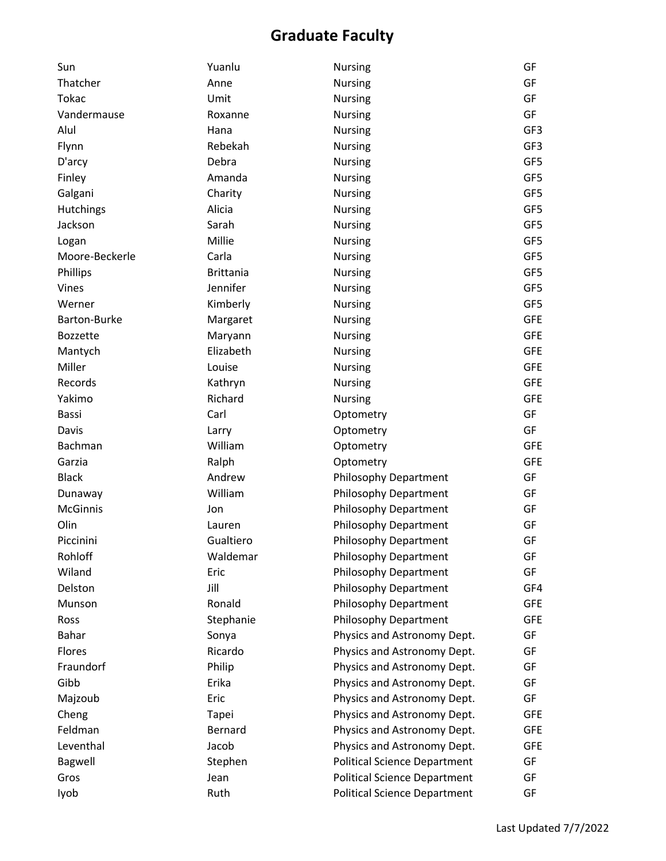| Sun              | Yuanlu           | <b>Nursing</b>                      | GF         |
|------------------|------------------|-------------------------------------|------------|
| Thatcher         | Anne             | <b>Nursing</b>                      | GF         |
| <b>Tokac</b>     | Umit             | <b>Nursing</b>                      | GF         |
| Vandermause      | Roxanne          | <b>Nursing</b>                      | GF         |
| Alul             | Hana             | Nursing                             | GF3        |
| Flynn            | Rebekah          | <b>Nursing</b>                      | GF3        |
| D'arcy           | Debra            | <b>Nursing</b>                      | GF5        |
| Finley           | Amanda           | <b>Nursing</b>                      | GF5        |
| Galgani          | Charity          | <b>Nursing</b>                      | GF5        |
| <b>Hutchings</b> | Alicia           | <b>Nursing</b>                      | GF5        |
| Jackson          | Sarah            | <b>Nursing</b>                      | GF5        |
| Logan            | Millie           | <b>Nursing</b>                      | GF5        |
| Moore-Beckerle   | Carla            | <b>Nursing</b>                      | GF5        |
| Phillips         | <b>Brittania</b> | <b>Nursing</b>                      | GF5        |
| Vines            | Jennifer         | <b>Nursing</b>                      | GF5        |
| Werner           | Kimberly         | <b>Nursing</b>                      | GF5        |
| Barton-Burke     | Margaret         | <b>Nursing</b>                      | <b>GFE</b> |
| <b>Bozzette</b>  | Maryann          | <b>Nursing</b>                      | <b>GFE</b> |
| Mantych          | Elizabeth        | <b>Nursing</b>                      | <b>GFE</b> |
| Miller           | Louise           | <b>Nursing</b>                      | <b>GFE</b> |
| Records          | Kathryn          | <b>Nursing</b>                      | <b>GFE</b> |
| Yakimo           | Richard          | <b>Nursing</b>                      | <b>GFE</b> |
| Bassi            | Carl             | Optometry                           | GF         |
| Davis            | Larry            | Optometry                           | GF         |
| Bachman          | William          | Optometry                           | <b>GFE</b> |
| Garzia           | Ralph            | Optometry                           | <b>GFE</b> |
| <b>Black</b>     | Andrew           | Philosophy Department               | GF         |
| Dunaway          | William          | Philosophy Department               | GF         |
| <b>McGinnis</b>  | Jon              | Philosophy Department               | GF         |
| Olin             | Lauren           | Philosophy Department               | GF         |
| Piccinini        | Gualtiero        | <b>Philosophy Department</b>        | GF         |
| Rohloff          | Waldemar         | Philosophy Department               | GF         |
| Wiland           | Eric             | Philosophy Department               | GF         |
| Delston          | Jill             | Philosophy Department               | GF4        |
| Munson           | Ronald           | Philosophy Department               | <b>GFE</b> |
| Ross             | Stephanie        | Philosophy Department               | <b>GFE</b> |
| Bahar            | Sonya            | Physics and Astronomy Dept.         | GF         |
| Flores           | Ricardo          | Physics and Astronomy Dept.         | GF         |
| Fraundorf        | Philip           | Physics and Astronomy Dept.         | GF         |
| Gibb             | Erika            | Physics and Astronomy Dept.         | GF         |
| Majzoub          | Eric             | Physics and Astronomy Dept.         | GF         |
| Cheng            | Tapei            | Physics and Astronomy Dept.         | <b>GFE</b> |
| Feldman          | Bernard          | Physics and Astronomy Dept.         | <b>GFE</b> |
| Leventhal        | Jacob            | Physics and Astronomy Dept.         | <b>GFE</b> |
| Bagwell          | Stephen          | <b>Political Science Department</b> | GF         |
| Gros             | Jean             | <b>Political Science Department</b> | GF         |
| lyob             | Ruth             | <b>Political Science Department</b> | GF         |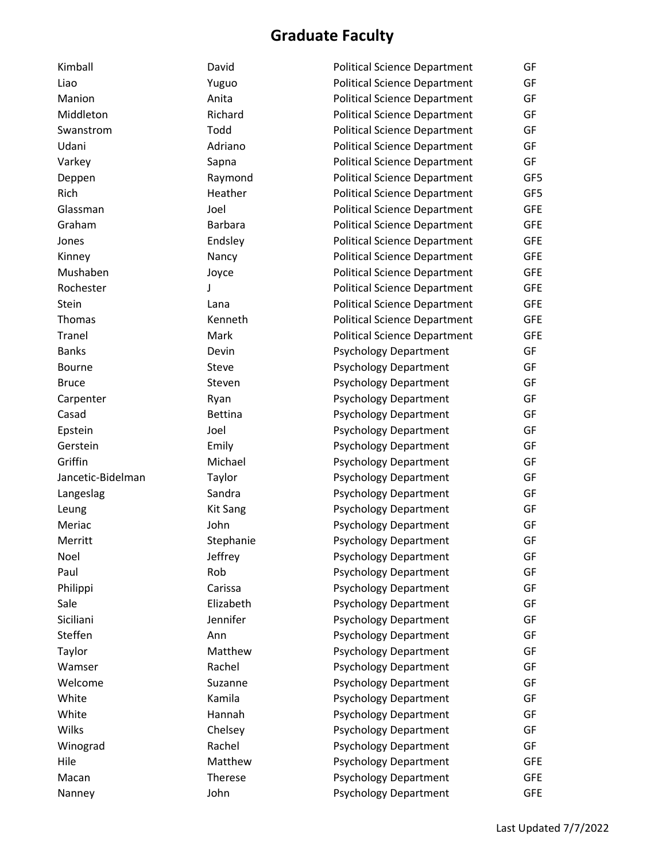| Kimball           | David           | <b>Political Science Department</b> | GF         |
|-------------------|-----------------|-------------------------------------|------------|
| Liao              | Yuguo           | <b>Political Science Department</b> | GF         |
| Manion            | Anita           | <b>Political Science Department</b> | GF         |
| Middleton         | Richard         | <b>Political Science Department</b> | GF         |
| Swanstrom         | Todd            | <b>Political Science Department</b> | GF         |
| Udani             | Adriano         | <b>Political Science Department</b> | GF         |
| Varkey            | Sapna           | <b>Political Science Department</b> | GF         |
| Deppen            | Raymond         | <b>Political Science Department</b> | GF5        |
| Rich              | Heather         | <b>Political Science Department</b> | GF5        |
| Glassman          | Joel            | <b>Political Science Department</b> | <b>GFE</b> |
| Graham            | <b>Barbara</b>  | <b>Political Science Department</b> | <b>GFE</b> |
| Jones             | Endsley         | <b>Political Science Department</b> | <b>GFE</b> |
| Kinney            | Nancy           | <b>Political Science Department</b> | <b>GFE</b> |
| Mushaben          | Joyce           | <b>Political Science Department</b> | <b>GFE</b> |
| Rochester         | J               | <b>Political Science Department</b> | <b>GFE</b> |
| Stein             | Lana            | <b>Political Science Department</b> | <b>GFE</b> |
| Thomas            | Kenneth         | <b>Political Science Department</b> | <b>GFE</b> |
| <b>Tranel</b>     | Mark            | <b>Political Science Department</b> | <b>GFE</b> |
| <b>Banks</b>      | Devin           | <b>Psychology Department</b>        | GF         |
| <b>Bourne</b>     | Steve           | <b>Psychology Department</b>        | GF         |
| <b>Bruce</b>      | Steven          | <b>Psychology Department</b>        | GF         |
| Carpenter         | Ryan            | <b>Psychology Department</b>        | GF         |
| Casad             | <b>Bettina</b>  | <b>Psychology Department</b>        | GF         |
| Epstein           | Joel            | <b>Psychology Department</b>        | GF         |
| Gerstein          | Emily           | <b>Psychology Department</b>        | GF         |
| Griffin           | Michael         | <b>Psychology Department</b>        | GF         |
| Jancetic-Bidelman | Taylor          | <b>Psychology Department</b>        | GF         |
| Langeslag         | Sandra          | <b>Psychology Department</b>        | GF         |
| Leung             | <b>Kit Sang</b> | <b>Psychology Department</b>        | GF         |
| Meriac            | John            | <b>Psychology Department</b>        | GF         |
| Merritt           | Stephanie       | <b>Psychology Department</b>        | GF         |
| Noel              | Jeffrey         | <b>Psychology Department</b>        | GF         |
| Paul              | Rob             | <b>Psychology Department</b>        | GF         |
| Philippi          | Carissa         | <b>Psychology Department</b>        | GF         |
| Sale              | Elizabeth       | <b>Psychology Department</b>        | GF         |
| Siciliani         | Jennifer        | <b>Psychology Department</b>        | GF         |
| Steffen           | Ann             | <b>Psychology Department</b>        | GF         |
| Taylor            | Matthew         | <b>Psychology Department</b>        | GF         |
| Wamser            | Rachel          | <b>Psychology Department</b>        | GF         |
| Welcome           | Suzanne         | <b>Psychology Department</b>        | GF         |
| White             | Kamila          | <b>Psychology Department</b>        | GF         |
| White             | Hannah          | <b>Psychology Department</b>        | GF         |
| Wilks             | Chelsey         | <b>Psychology Department</b>        | GF         |
| Winograd          | Rachel          | <b>Psychology Department</b>        | GF         |
| Hile              | Matthew         | <b>Psychology Department</b>        | <b>GFE</b> |
| Macan             | Therese         | <b>Psychology Department</b>        | <b>GFE</b> |
| Nanney            | John            | <b>Psychology Department</b>        | <b>GFE</b> |